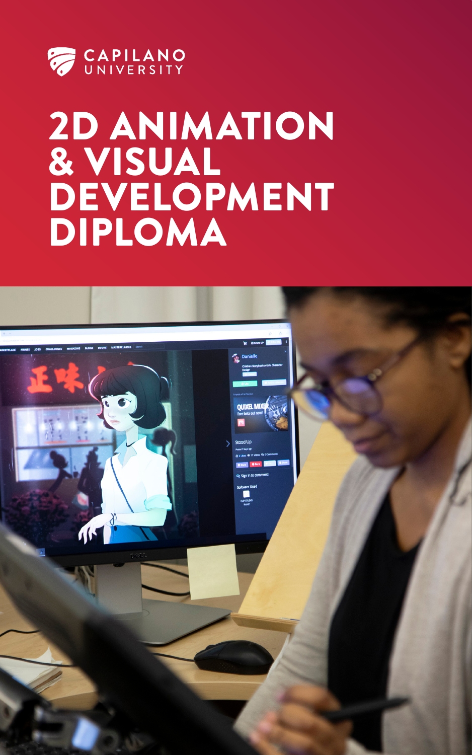

## 2D ANIMATION & VISUAL DEVELOPMENT DIPLOMA